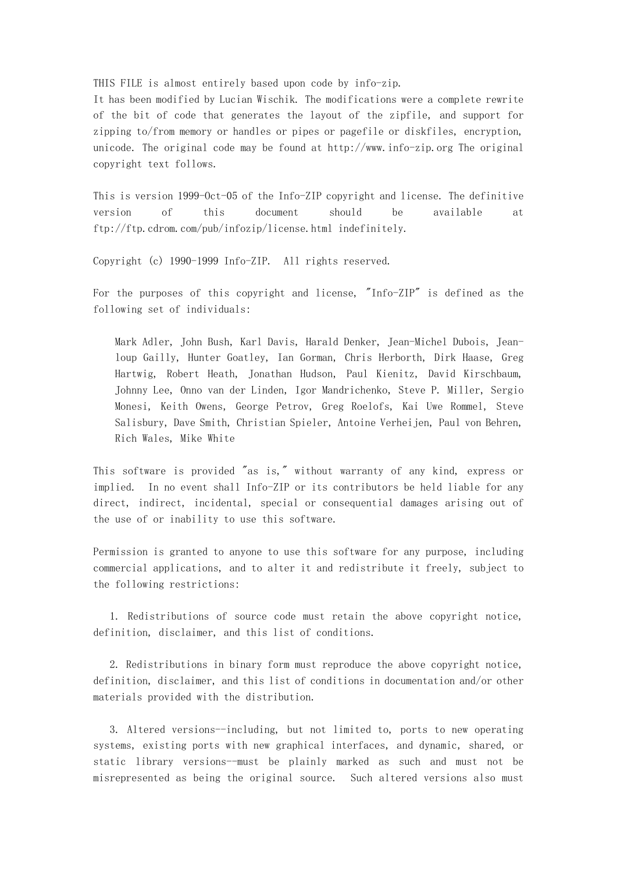THIS FILE is almost entirely based upon code by info-zip.

It has been modified by Lucian Wischik. The modifications were a complete rewrite of the bit of code that generates the layout of the zipfile, and support for zipping to/from memory or handles or pipes or pagefile or diskfiles, encryption, unicode. The original code may be found at http://www.info-zip.org The original copyright text follows.

This is version 1999-Oct-05 of the Info-ZIP copyright and license. The definitive version of this document should be available at ftp://ftp.cdrom.com/pub/infozip/license.html indefinitely.

Copyright (c) 1990-1999 Info-ZIP. All rights reserved.

For the purposes of this copyright and license, "Info-ZIP" is defined as the following set of individuals:

Mark Adler, John Bush, Karl Davis, Harald Denker, Jean-Michel Dubois, Jeanloup Gailly, Hunter Goatley, Ian Gorman, Chris Herborth, Dirk Haase, Greg Hartwig, Robert Heath, Jonathan Hudson, Paul Kienitz, David Kirschbaum, Johnny Lee, Onno van der Linden, Igor Mandrichenko, Steve P. Miller, Sergio Monesi, Keith Owens, George Petrov, Greg Roelofs, Kai Uwe Rommel, Steve Salisbury, Dave Smith, Christian Spieler, Antoine Verheijen, Paul von Behren, Rich Wales, Mike White

This software is provided "as is," without warranty of any kind, express or implied. In no event shall Info-ZIP or its contributors be held liable for any direct, indirect, incidental, special or consequential damages arising out of the use of or inability to use this software.

Permission is granted to anyone to use this software for any purpose, including commercial applications, and to alter it and redistribute it freely, subject to the following restrictions:

 1. Redistributions of source code must retain the above copyright notice, definition, disclaimer, and this list of conditions.

 2. Redistributions in binary form must reproduce the above copyright notice, definition, disclaimer, and this list of conditions in documentation and/or other materials provided with the distribution.

 3. Altered versions--including, but not limited to, ports to new operating systems, existing ports with new graphical interfaces, and dynamic, shared, or static library versions--must be plainly marked as such and must not be misrepresented as being the original source. Such altered versions also must